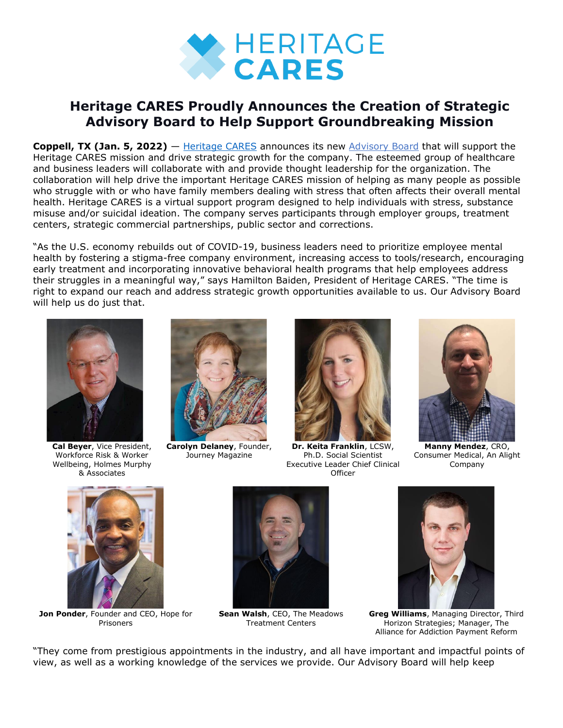

## **Heritage CARES Proudly Announces the Creation of Strategic Advisory Board to Help Support Groundbreaking Mission**

**Coppell, TX (Jan. 5, 2022)** — [Heritage](https://bit.ly/3y228gl) CARES announces its new [Advisory](https://bit.ly/3p6NcuI) Board that will support the Heritage CARES mission and drive strategic growth for the company. The esteemed group of healthcare and business leaders will collaborate with and provide thought leadership for the organization. The collaboration will help drive the important Heritage CARES mission of helping as many people as possible who struggle with or who have family members dealing with stress that often affects their overall mental health. Heritage CARES is a virtual support program designed to help individuals with stress, substance misuse and/or suicidal ideation. The company serves participants through employer groups, treatment centers, strategic commercial partnerships, public sector and corrections.

"As the U.S. economy rebuilds out of COVID-19, business leaders need to prioritize employee mental health by fostering a stigma-free company environment, increasing access to tools/research, encouraging early treatment and incorporating innovative behavioral health programs that help employees address their struggles in a meaningful way," says Hamilton Baiden, President of Heritage CARES. "The time is right to expand our reach and address strategic growth opportunities available to us. Our Advisory Board will help us do just that.



**Cal Beyer**, Vice President, Workforce Risk & Worker Wellbeing, Holmes Murphy & Associates



**Carolyn Delaney**, Founder, Journey Magazine



**Dr. Keita Franklin**, LCSW, Ph.D. Social Scientist Executive Leader Chief Clinical **Officer** 



**Manny Mendez**, CRO, Consumer Medical, An Alight Company



**Jon Ponder**, Founder and CEO, Hope for Prisoners



**Sean Walsh**, CEO, The Meadows Treatment Centers



**Greg Williams**, Managing Director, Third Horizon Strategies; Manager, The Alliance for Addiction Payment Reform

"They come from prestigious appointments in the industry, and all have important and impactful points of view, as well as a working knowledge of the services we provide. Our Advisory Board will help keep